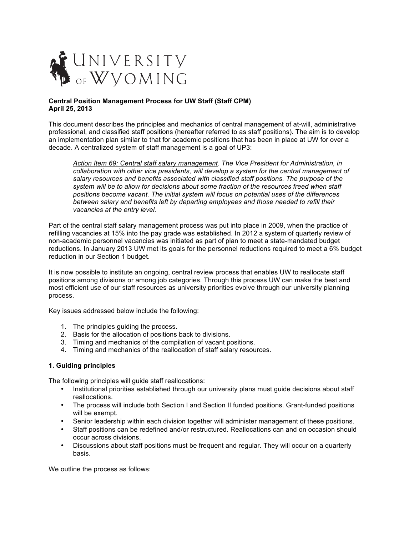

### **Central Position Management Process for UW Staff (Staff CPM) April 25, 2013**

This document describes the principles and mechanics of central management of at-will, administrative professional, and classified staff positions (hereafter referred to as staff positions). The aim is to develop an implementation plan similar to that for academic positions that has been in place at UW for over a decade. A centralized system of staff management is a goal of UP3:

*Action Item 69: Central staff salary management. The Vice President for Administration, in collaboration with other vice presidents, will develop a system for the central management of salary resources and benefits associated with classified staff positions. The purpose of the system will be to allow for decisions about some fraction of the resources freed when staff positions become vacant. The initial system will focus on potential uses of the differences between salary and benefits left by departing employees and those needed to refill their vacancies at the entry level.*

Part of the central staff salary management process was put into place in 2009, when the practice of refilling vacancies at 15% into the pay grade was established. In 2012 a system of quarterly review of non-academic personnel vacancies was initiated as part of plan to meet a state-mandated budget reductions. In January 2013 UW met its goals for the personnel reductions required to meet a 6% budget reduction in our Section 1 budget.

It is now possible to institute an ongoing, central review process that enables UW to reallocate staff positions among divisions or among job categories. Through this process UW can make the best and most efficient use of our staff resources as university priorities evolve through our university planning process.

Key issues addressed below include the following:

- 1. The principles guiding the process.
- 2. Basis for the allocation of positions back to divisions.
- 3. Timing and mechanics of the compilation of vacant positions.
- 4. Timing and mechanics of the reallocation of staff salary resources.

### **1. Guiding principles**

The following principles will guide staff reallocations:

- Institutional priorities established through our university plans must guide decisions about staff reallocations.
- The process will include both Section I and Section II funded positions. Grant-funded positions will be exempt.
- Senior leadership within each division together will administer management of these positions.
- Staff positions can be redefined and/or restructured. Reallocations can and on occasion should occur across divisions.
- Discussions about staff positions must be frequent and regular. They will occur on a quarterly basis.

We outline the process as follows: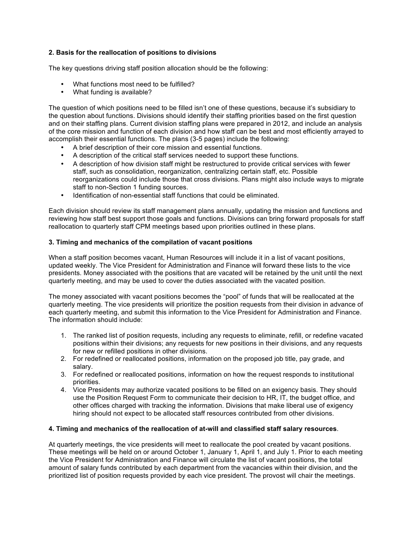# **2. Basis for the reallocation of positions to divisions**

The key questions driving staff position allocation should be the following:

- What functions most need to be fulfilled?
- What funding is available?

The question of which positions need to be filled isn't one of these questions, because it's subsidiary to the question about functions. Divisions should identify their staffing priorities based on the first question and on their staffing plans. Current division staffing plans were prepared in 2012, and include an analysis of the core mission and function of each division and how staff can be best and most efficiently arrayed to accomplish their essential functions. The plans (3-5 pages) include the following:

- A brief description of their core mission and essential functions.
- A description of the critical staff services needed to support these functions.
- A description of how division staff might be restructured to provide critical services with fewer staff, such as consolidation, reorganization, centralizing certain staff, etc. Possible reorganizations could include those that cross divisions. Plans might also include ways to migrate staff to non-Section 1 funding sources.
- Identification of non-essential staff functions that could be eliminated.

Each division should review its staff management plans annually, updating the mission and functions and reviewing how staff best support those goals and functions. Divisions can bring forward proposals for staff reallocation to quarterly staff CPM meetings based upon priorities outlined in these plans.

## **3. Timing and mechanics of the compilation of vacant positions**

When a staff position becomes vacant, Human Resources will include it in a list of vacant positions, updated weekly. The Vice President for Administration and Finance will forward these lists to the vice presidents. Money associated with the positions that are vacated will be retained by the unit until the next quarterly meeting, and may be used to cover the duties associated with the vacated position.

The money associated with vacant positions becomes the "pool" of funds that will be reallocated at the quarterly meeting. The vice presidents will prioritize the position requests from their division in advance of each quarterly meeting, and submit this information to the Vice President for Administration and Finance. The information should include:

- 1. The ranked list of position requests, including any requests to eliminate, refill, or redefine vacated positions within their divisions; any requests for new positions in their divisions, and any requests for new or refilled positions in other divisions.
- 2. For redefined or reallocated positions, information on the proposed job title, pay grade, and salary.
- 3. For redefined or reallocated positions, information on how the request responds to institutional priorities.
- 4. Vice Presidents may authorize vacated positions to be filled on an exigency basis. They should use the Position Request Form to communicate their decision to HR, IT, the budget office, and other offices charged with tracking the information. Divisions that make liberal use of exigency hiring should not expect to be allocated staff resources contributed from other divisions.

### **4. Timing and mechanics of the reallocation of at-will and classified staff salary resources**.

At quarterly meetings, the vice presidents will meet to reallocate the pool created by vacant positions. These meetings will be held on or around October 1, January 1, April 1, and July 1. Prior to each meeting the Vice President for Administration and Finance will circulate the list of vacant positions, the total amount of salary funds contributed by each department from the vacancies within their division, and the prioritized list of position requests provided by each vice president. The provost will chair the meetings.